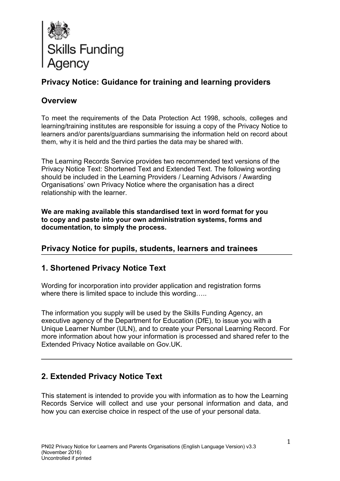

# **Privacy Notice: Guidance for training and learning providers**

## **Overview**

To meet the requirements of the Data Protection Act 1998, schools, colleges and learning/training institutes are responsible for issuing a copy of the Privacy Notice to learners and/or parents/guardians summarising the information held on record about them, why it is held and the third parties the data may be shared with.

The Learning Records Service provides two recommended text versions of the Privacy Notice Text: Shortened Text and Extended Text. The following wording should be included in the Learning Providers / Learning Advisors / Awarding Organisations' own Privacy Notice where the organisation has a direct relationship with the learner.

**We are making available this standardised text in word format for you to copy and paste into your own administration systems, forms and documentation, to simply the process.**

## **Privacy Notice for pupils, students, learners and trainees**

## **1. Shortened Privacy Notice Text**

Wording for incorporation into provider application and registration forms where there is limited space to include this wording.....

The information you supply will be used by the Skills Funding Agency, an executive agency of the Department for Education (DfE), to issue you with a Unique Learner Number (ULN), and to create your Personal Learning Record. For more information about how your information is processed and shared refer to the Extended Privacy Notice available on Gov.UK.

## **2. Extended Privacy Notice Text**

This statement is intended to provide you with information as to how the Learning Records Service will collect and use your personal information and data, and how you can exercise choice in respect of the use of your personal data.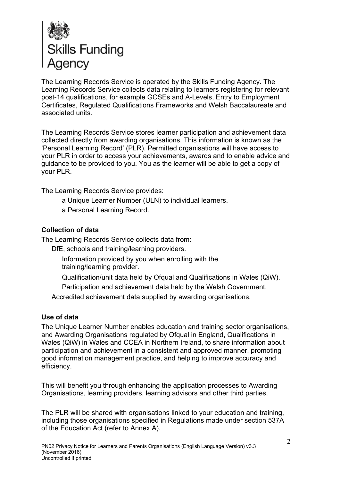

The Learning Records Service is operated by the Skills Funding Agency. The Learning Records Service collects data relating to learners registering for relevant post-14 qualifications, for example GCSEs and A-Levels, Entry to Employment Certificates, Regulated Qualifications Frameworks and Welsh Baccalaureate and associated units.

The Learning Records Service stores learner participation and achievement data collected directly from awarding organisations. This information is known as the 'Personal Learning Record' (PLR). Permitted organisations will have access to your PLR in order to access your achievements, awards and to enable advice and guidance to be provided to you. You as the learner will be able to get a copy of your PLR.

The Learning Records Service provides:

- a Unique Learner Number (ULN) to individual learners.
- a Personal Learning Record.

### **Collection of data**

The Learning Records Service collects data from:

DfE, schools and training/learning providers.

Information provided by you when enrolling with the training/learning provider.

Qualification/unit data held by Ofqual and Qualifications in Wales (QiW).

Participation and achievement data held by the Welsh Government.

Accredited achievement data supplied by awarding organisations.

### **Use of data**

The Unique Learner Number enables education and training sector organisations, and Awarding Organisations regulated by Ofqual in England, Qualifications in Wales (QiW) in Wales and CCEA in Northern Ireland, to share information about participation and achievement in a consistent and approved manner, promoting good information management practice, and helping to improve accuracy and efficiency.

This will benefit you through enhancing the application processes to Awarding Organisations, learning providers, learning advisors and other third parties.

The PLR will be shared with organisations linked to your education and training, including those organisations specified in Regulations made under section 537A of the Education Act (refer to Annex A).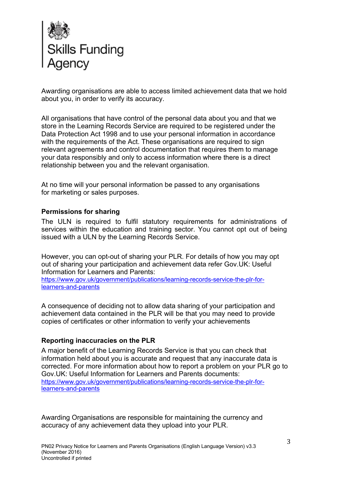

Awarding organisations are able to access limited achievement data that we hold about you, in order to verify its accuracy.

All organisations that have control of the personal data about you and that we store in the Learning Records Service are required to be registered under the Data Protection Act 1998 and to use your personal information in accordance with the requirements of the Act. These organisations are required to sign relevant agreements and control documentation that requires them to manage your data responsibly and only to access information where there is a direct relationship between you and the relevant organisation.

At no time will your personal information be passed to any organisations for marketing or sales purposes.

### **Permissions for sharing**

The ULN is required to fulfil statutory requirements for administrations of services within the education and training sector. You cannot opt out of being issued with a ULN by the Learning Records Service.

However, you can opt-out of sharing your PLR. For details of how you may opt out of sharing your participation and achievement data refer Gov.UK: Useful Information for Learners and Parents:

https://www.gov.uk/government/publications/learning-records-service-the-plr-forlearners-and-parents

A consequence of deciding not to allow data sharing of your participation and achievement data contained in the PLR will be that you may need to provide copies of certificates or other information to verify your achievements

### **Reporting inaccuracies on the PLR**

A major benefit of the Learning Records Service is that you can check that information held about you is accurate and request that any inaccurate data is corrected. For more information about how to report a problem on your PLR go to Gov.UK: Useful Information for Learners and Parents documents: https://www.gov.uk/government/publications/learning-records-service-the-plr-forlearners-and-parents

Awarding Organisations are responsible for maintaining the currency and accuracy of any achievement data they upload into your PLR.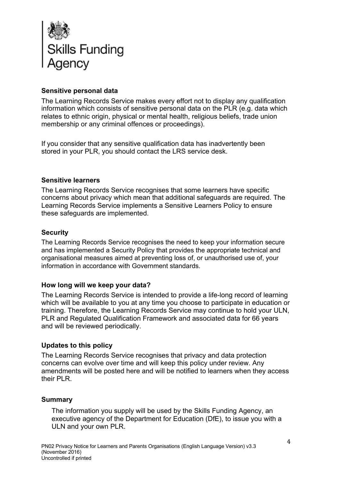

### **Sensitive personal data**

The Learning Records Service makes every effort not to display any qualification information which consists of sensitive personal data on the PLR (e.g. data which relates to ethnic origin, physical or mental health, religious beliefs, trade union membership or any criminal offences or proceedings).

If you consider that any sensitive qualification data has inadvertently been stored in your PLR, you should contact the LRS service desk.

### **Sensitive learners**

The Learning Records Service recognises that some learners have specific concerns about privacy which mean that additional safeguards are required. The Learning Records Service implements a Sensitive Learners Policy to ensure these safeguards are implemented.

### **Security**

The Learning Records Service recognises the need to keep your information secure and has implemented a Security Policy that provides the appropriate technical and organisational measures aimed at preventing loss of, or unauthorised use of, your information in accordance with Government standards.

### **How long will we keep your data?**

The Learning Records Service is intended to provide a life-long record of learning which will be available to you at any time you choose to participate in education or training. Therefore, the Learning Records Service may continue to hold your ULN, PLR and Regulated Qualification Framework and associated data for 66 years and will be reviewed periodically.

### **Updates to this policy**

The Learning Records Service recognises that privacy and data protection concerns can evolve over time and will keep this policy under review. Any amendments will be posted here and will be notified to learners when they access their PLR.

### **Summary**

The information you supply will be used by the Skills Funding Agency, an executive agency of the Department for Education (DfE), to issue you with a ULN and your own PLR.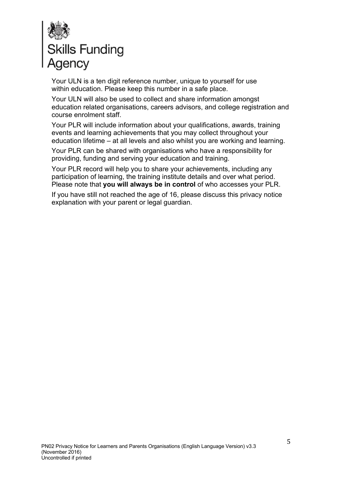

Your ULN is a ten digit reference number, unique to yourself for use within education. Please keep this number in a safe place.

Your ULN will also be used to collect and share information amongst education related organisations, careers advisors, and college registration and course enrolment staff.

Your PLR will include information about your qualifications, awards, training events and learning achievements that you may collect throughout your education lifetime – at all levels and also whilst you are working and learning.

Your PLR can be shared with organisations who have a responsibility for providing, funding and serving your education and training.

Your PLR record will help you to share your achievements, including any participation of learning, the training institute details and over what period. Please note that **you will always be in control** of who accesses your PLR.

If you have still not reached the age of 16, please discuss this privacy notice explanation with your parent or legal guardian.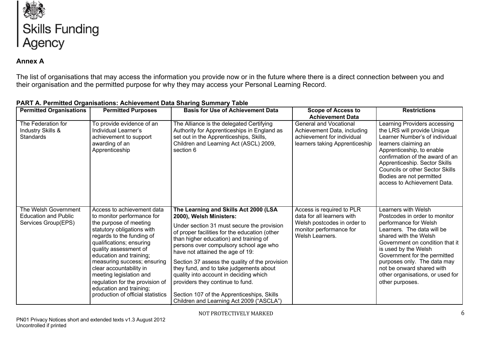

### **Annex A**

The list of organisations that may access the information you provide now or in the future where there is a direct connection between you and their organisation and the permitted purpose for why they may access your Personal Learning Record.

| <b>Permitted Organisations</b>                                             | <b>Permitted Purposes</b>                                                                                                                                                                                                                                                                                                                                                                                             | <b>Basis for Use of Achievement Data</b>                                                                                                                                                                                                                                                                                                                                                                                                                                                                                                                     | <b>Scope of Access to</b><br><b>Achievement Data</b>                                                                                 | <b>Restrictions</b>                                                                                                                                                                                                                                                                                                                                |
|----------------------------------------------------------------------------|-----------------------------------------------------------------------------------------------------------------------------------------------------------------------------------------------------------------------------------------------------------------------------------------------------------------------------------------------------------------------------------------------------------------------|--------------------------------------------------------------------------------------------------------------------------------------------------------------------------------------------------------------------------------------------------------------------------------------------------------------------------------------------------------------------------------------------------------------------------------------------------------------------------------------------------------------------------------------------------------------|--------------------------------------------------------------------------------------------------------------------------------------|----------------------------------------------------------------------------------------------------------------------------------------------------------------------------------------------------------------------------------------------------------------------------------------------------------------------------------------------------|
| The Federation for<br><b>Industry Skills &amp;</b><br><b>Standards</b>     | To provide evidence of an<br>Individual Learner's<br>achievement to support<br>awarding of an<br>Apprenticeship                                                                                                                                                                                                                                                                                                       | The Alliance is the delegated Certifying<br>Authority for Apprenticeships in England as<br>set out in the Apprenticeships, Skills,<br>Children and Learning Act (ASCL) 2009,<br>section 6                                                                                                                                                                                                                                                                                                                                                                    | <b>General and Vocational</b><br>Achievement Data, including<br>achievement for individual<br>learners taking Apprenticeship         | Learning Providers accessing<br>the LRS will provide Unique<br>Learner Number's of individual<br>learners claiming an<br>Apprenticeship, to enable<br>confirmation of the award of an<br>Apprenticeship. Sector Skills<br><b>Councils or other Sector Skills</b><br>Bodies are not permitted<br>access to Achievement Data.                        |
| The Welsh Government<br><b>Education and Public</b><br>Services Group(EPS) | Access to achievement data<br>to monitor performance for<br>the purpose of meeting<br>statutory obligations with<br>regards to the funding of<br>qualifications; ensuring<br>quality assessment of<br>education and training;<br>measuring success; ensuring<br>clear accountability in<br>meeting legislation and<br>regulation for the provision of<br>education and training;<br>production of official statistics | The Learning and Skills Act 2000 (LSA<br>2000), Welsh Ministers:<br>Under section 31 must secure the provision<br>of proper facilities for the education (other<br>than higher education) and training of<br>persons over compulsory school age who<br>have not attained the age of 19:<br>Section 37 assess the quality of the provision<br>they fund, and to take judgements about<br>quality into account in deciding which<br>providers they continue to fund.<br>Section 107 of the Apprenticeships, Skills<br>Children and Learning Act 2009 ("ASCLA") | Access is required to PLR<br>data for all learners with<br>Welsh postcodes in order to<br>monitor performance for<br>Welsh Learners. | Learners with Welsh<br>Postcodes in order to monitor<br>performance for Welsh<br>Learners. The data will be<br>shared with the Welsh<br>Government on condition that it<br>is used by the Welsh<br>Government for the permitted<br>purposes only. The data may<br>not be onward shared with<br>other organisations, or used for<br>other purposes. |

### **PART A. Permitted Organisations: Achievement Data Sharing Summary Table**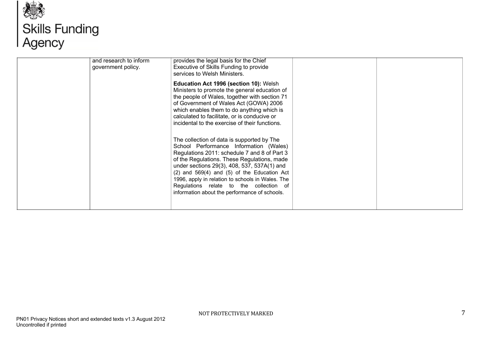

# **AS**<br>Skills Funding<br>Agency

| and research to inform<br>government policy. | provides the legal basis for the Chief<br>Executive of Skills Funding to provide<br>services to Welsh Ministers.<br>Education Act 1996 (section 10): Welsh<br>Ministers to promote the general education of<br>the people of Wales, together with section 71<br>of Government of Wales Act (GOWA) 2006<br>which enables them to do anything which is<br>calculated to facilitate, or is conducive or<br>incidental to the exercise of their functions. |  |
|----------------------------------------------|--------------------------------------------------------------------------------------------------------------------------------------------------------------------------------------------------------------------------------------------------------------------------------------------------------------------------------------------------------------------------------------------------------------------------------------------------------|--|
|                                              | The collection of data is supported by The<br>School Performance Information (Wales)<br>Regulations 2011: schedule 7 and 8 of Part 3<br>of the Regulations. These Regulations, made<br>under sections 29(3), 408, 537, 537A(1) and<br>$(2)$ and 569 $(4)$ and $(5)$ of the Education Act<br>1996, apply in relation to schools in Wales. The<br>Regulations relate to the collection of<br>information about the performance of schools.               |  |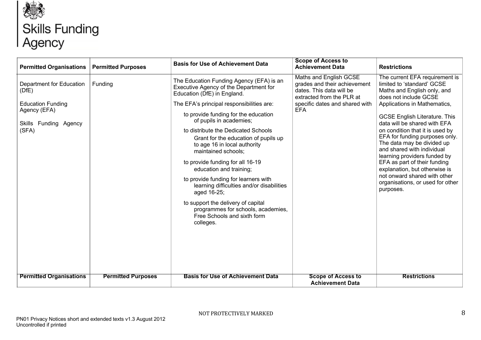

# **ASS**<br>Skills Funding<br>Agency

| <b>Permitted Organisations</b>                                                                                                                    | <b>Permitted Purposes</b>            | <b>Basis for Use of Achievement Data</b>                                                                                                                                                                                                                                                                                                                                                                                                                                                                                                                                                                                                                                                                       | <b>Scope of Access to</b><br><b>Achievement Data</b>                                                                                                                                         | <b>Restrictions</b>                                                                                                                                                                                                                                                                                                                                                                                                                                                                                                                                                    |
|---------------------------------------------------------------------------------------------------------------------------------------------------|--------------------------------------|----------------------------------------------------------------------------------------------------------------------------------------------------------------------------------------------------------------------------------------------------------------------------------------------------------------------------------------------------------------------------------------------------------------------------------------------------------------------------------------------------------------------------------------------------------------------------------------------------------------------------------------------------------------------------------------------------------------|----------------------------------------------------------------------------------------------------------------------------------------------------------------------------------------------|------------------------------------------------------------------------------------------------------------------------------------------------------------------------------------------------------------------------------------------------------------------------------------------------------------------------------------------------------------------------------------------------------------------------------------------------------------------------------------------------------------------------------------------------------------------------|
| Department for Education<br>(DfE)<br><b>Education Funding</b><br>Agency (EFA)<br>Skills Funding Agency<br>(SFA)<br><b>Permitted Organisations</b> | Funding<br><b>Permitted Purposes</b> | The Education Funding Agency (EFA) is an<br>Executive Agency of the Department for<br>Education (DfE) in England.<br>The EFA's principal responsibilities are:<br>to provide funding for the education<br>of pupils in academies;<br>to distribute the Dedicated Schools<br>Grant for the education of pupils up<br>to age 16 in local authority<br>maintained schools;<br>to provide funding for all 16-19<br>education and training;<br>to provide funding for learners with<br>learning difficulties and/or disabilities<br>aged 16-25;<br>to support the delivery of capital<br>programmes for schools, academies,<br>Free Schools and sixth form<br>colleges.<br><b>Basis for Use of Achievement Data</b> | Maths and English GCSE<br>grades and their achievement<br>dates. This data will be<br>extracted from the PLR at<br>specific dates and shared with<br><b>EFA</b><br><b>Scope of Access to</b> | The current EFA requirement is<br>limited to 'standard' GCSE<br>Maths and English only, and<br>does not include GCSE<br>Applications in Mathematics,<br><b>GCSE English Literature. This</b><br>data will be shared with EFA<br>on condition that it is used by<br>EFA for funding purposes only.<br>The data may be divided up<br>and shared with individual<br>learning providers funded by<br>EFA as part of their funding<br>explanation, but otherwise is<br>not onward shared with other<br>organisations, or used for other<br>purposes.<br><b>Restrictions</b> |
|                                                                                                                                                   |                                      |                                                                                                                                                                                                                                                                                                                                                                                                                                                                                                                                                                                                                                                                                                                | <b>Achievement Data</b>                                                                                                                                                                      |                                                                                                                                                                                                                                                                                                                                                                                                                                                                                                                                                                        |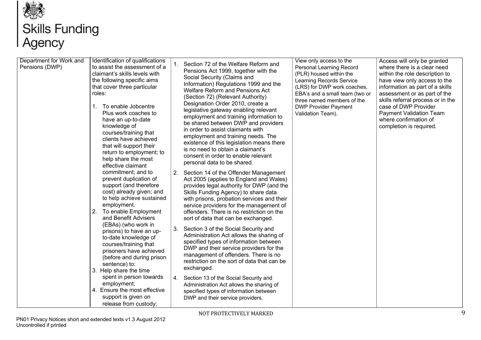

# **ASS**<br>Skills Funding<br>Agency

| Department for Work and<br>Pensions (DWP) | Identification of qualifications<br>to assist the assessment of a<br>claimant's skills levels with<br>the following specific aims<br>that cover three particular<br>roles:<br>To enable Jobcentre<br>$\mathbf{1}$ .<br>Plus work coaches to<br>have an up-to-date<br>knowledge of<br>courses/training that<br>clients have achieved<br>that will support their<br>return to employment; to<br>help share the most                                                                                          | Section 72 of the Welfare Reform and<br>Pensions Act 1999, together with the<br>Social Security (Claims and<br>Information) Regulations 1999 and the<br><b>Welfare Reform and Pensions Act</b><br>(Section 72) (Relevant Authority)<br>Designation Order 2010, create a<br>legislative gateway enabling relevant<br>employment and training information to<br>be shared between DWP and providers<br>in order to assist claimants with<br>employment and training needs. The<br>existence of this legislation means there<br>is no need to obtain a claimant's<br>consent in order to enable relevant<br>personal data to be shared.                                                                                                 | View only access to the<br>Personal Learning Record<br>(PLR) housed within the<br>Learning Records Service<br>(LRS) for DWP work coaches,<br>EBA's and a small team (two or<br>three named members of the<br><b>DWP Provider Payment</b><br>Validation Team). | Access will only be granted<br>where there is a clear need<br>within the role description to<br>have view only access to the<br>information as part of a skills<br>assessment or as part of the<br>skills referral process or in the<br>case of DWP Provider<br><b>Payment Validation Team</b><br>where confirmation of<br>completion is required. |
|-------------------------------------------|------------------------------------------------------------------------------------------------------------------------------------------------------------------------------------------------------------------------------------------------------------------------------------------------------------------------------------------------------------------------------------------------------------------------------------------------------------------------------------------------------------|--------------------------------------------------------------------------------------------------------------------------------------------------------------------------------------------------------------------------------------------------------------------------------------------------------------------------------------------------------------------------------------------------------------------------------------------------------------------------------------------------------------------------------------------------------------------------------------------------------------------------------------------------------------------------------------------------------------------------------------|---------------------------------------------------------------------------------------------------------------------------------------------------------------------------------------------------------------------------------------------------------------|----------------------------------------------------------------------------------------------------------------------------------------------------------------------------------------------------------------------------------------------------------------------------------------------------------------------------------------------------|
|                                           | effective claimant<br>commitment; and to<br>prevent duplication of<br>support (and therefore<br>cost) already given; and<br>to help achieve sustained<br>employment.<br>To enable Employment<br>2.<br>and Benefit Advisers<br>(EBAs) (who work in<br>prisons) to have an up-<br>to-date knowledge of<br>courses/training that<br>prisoners have achieved<br>(before and during prison<br>sentence) to:<br>3. Help share the time<br>spent in person towards<br>employment;<br>4. Ensure the most effective | 2. Section 14 of the Offender Management<br>Act 2005 (applies to England and Wales)<br>provides legal authority for DWP (and the<br>Skills Funding Agency) to share data<br>with prisons, probation services and their<br>service providers for the management of<br>offenders. There is no restriction on the<br>sort of data that can be exchanged.<br>Section 3 of the Social Security and<br>3.<br>Administration Act allows the sharing of<br>specified types of information between<br>DWP and their service providers for the<br>management of offenders. There is no<br>restriction on the sort of data that can be<br>exchanged.<br>Section 13 of the Social Security and<br>4.<br>Administration Act allows the sharing of |                                                                                                                                                                                                                                                               |                                                                                                                                                                                                                                                                                                                                                    |

NOT PROTECTIVELY MARKED 9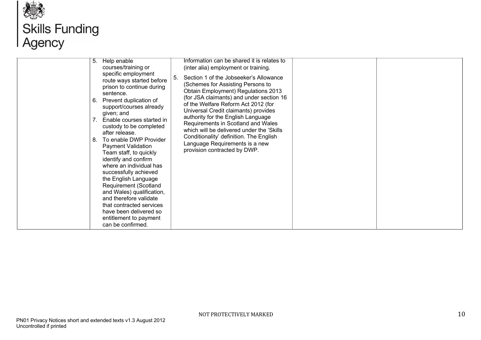

# **AS**<br>Skills Funding<br>Agency

| 5.<br>6.<br>$7_{\scriptscriptstyle{\sim}}$<br>8.<br>and therefore validate<br>that contracted services | Help enable<br>courses/training or<br>specific employment<br>route ways started before<br>prison to continue during<br>sentence.<br>Prevent duplication of<br>support/courses already<br>given; and<br>Enable courses started in<br>custody to be completed<br>after release.<br>To enable DWP Provider<br><b>Payment Validation</b><br>Team staff, to quickly<br>identify and confirm<br>where an individual has<br>successfully achieved<br>the English Language<br><b>Requirement (Scotland</b><br>and Wales) qualification, | Information can be shared it is relates to<br>(inter alia) employment or training.<br>Section 1 of the Jobseeker's Allowance<br>-5.<br>(Schemes for Assisting Persons to<br>Obtain Employment) Regulations 2013<br>(for JSA claimants) and under section 16<br>of the Welfare Reform Act 2012 (for<br>Universal Credit claimants) provides<br>authority for the English Language<br>Requirements in Scotland and Wales<br>which will be delivered under the 'Skills'<br>Conditionality' definition. The English<br>Language Requirements is a new<br>provision contracted by DWP. |
|--------------------------------------------------------------------------------------------------------|---------------------------------------------------------------------------------------------------------------------------------------------------------------------------------------------------------------------------------------------------------------------------------------------------------------------------------------------------------------------------------------------------------------------------------------------------------------------------------------------------------------------------------|-----------------------------------------------------------------------------------------------------------------------------------------------------------------------------------------------------------------------------------------------------------------------------------------------------------------------------------------------------------------------------------------------------------------------------------------------------------------------------------------------------------------------------------------------------------------------------------|
|--------------------------------------------------------------------------------------------------------|---------------------------------------------------------------------------------------------------------------------------------------------------------------------------------------------------------------------------------------------------------------------------------------------------------------------------------------------------------------------------------------------------------------------------------------------------------------------------------------------------------------------------------|-----------------------------------------------------------------------------------------------------------------------------------------------------------------------------------------------------------------------------------------------------------------------------------------------------------------------------------------------------------------------------------------------------------------------------------------------------------------------------------------------------------------------------------------------------------------------------------|